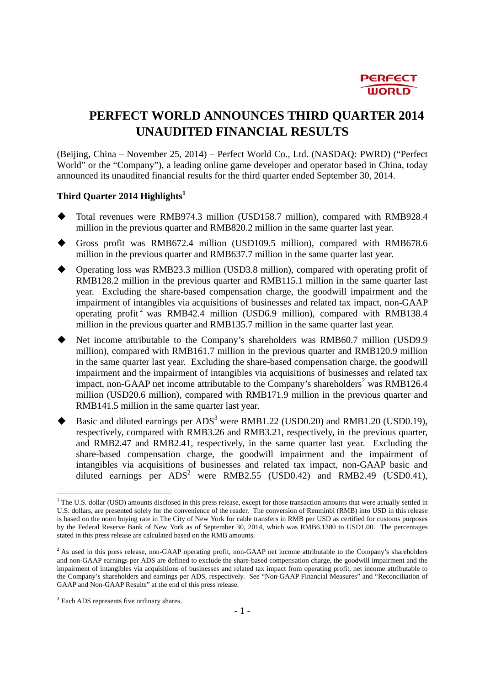

# **PERFECT WORLD ANNOUNCES THIRD QUARTER 2014 UNAUDITED FINANCIAL RESULTS**

(Beijing, China – November 25, 2014) – Perfect World Co., Ltd. (NASDAQ: PWRD) ("Perfect World" or the "Company"), a leading online game developer and operator based in China, today announced its unaudited financial results for the third quarter ended September 30, 2014.

# Third Quarter 2014 Highlights<sup>1</sup>

- Total revenues were RMB974.3 million (USD158.7 million), compared with RMB928.4 million in the previous quarter and RMB820.2 million in the same quarter last year.
- Gross profit was RMB672.4 million (USD109.5 million), compared with RMB678.6 million in the previous quarter and RMB637.7 million in the same quarter last year.
- Operating loss was RMB23.3 million (USD3.8 million), compared with operating profit of RMB128.2 million in the previous quarter and RMB115.1 million in the same quarter last year. Excluding the share-based compensation charge, the goodwill impairment and the impairment of intangibles via acquisitions of businesses and related tax impact, non-GAAP operating profit<sup>2</sup> was RMB42.4 million (USD6.9 million), compared with RMB138.4 million in the previous quarter and RMB135.7 million in the same quarter last year.
- Net income attributable to the Company's shareholders was RMB60.7 million (USD9.9 million), compared with RMB161.7 million in the previous quarter and RMB120.9 million in the same quarter last year. Excluding the share-based compensation charge, the goodwill impairment and the impairment of intangibles via acquisitions of businesses and related tax impact, non-GAAP net income attributable to the Company's shareholders<sup>2</sup> was RMB126.4 million (USD20.6 million), compared with RMB171.9 million in the previous quarter and RMB141.5 million in the same quarter last year.
- $\blacklozenge$  Basic and diluted earnings per ADS<sup>3</sup> were RMB1.22 (USD0.20) and RMB1.20 (USD0.19), respectively, compared with RMB3.26 and RMB3.21, respectively, in the previous quarter, and RMB2.47 and RMB2.41, respectively, in the same quarter last year. Excluding the share-based compensation charge, the goodwill impairment and the impairment of intangibles via acquisitions of businesses and related tax impact, non-GAAP basic and diluted earnings per  $ADS<sup>2</sup>$  were RMB2.55 (USD0.42) and RMB2.49 (USD0.41),

 $\overline{a}$ 

<sup>&</sup>lt;sup>1</sup> The U.S. dollar (USD) amounts disclosed in this press release, except for those transaction amounts that were actually settled in U.S. dollars, are presented solely for the convenience of the reader. The conversion of Renminbi (RMB) into USD in this release is based on the noon buying rate in The City of New York for cable transfers in RMB per USD as certified for customs purposes by the Federal Reserve Bank of New York as of September 30, 2014, which was RMB6.1380 to USD1.00. The percentages stated in this press release are calculated based on the RMB amounts.

<sup>&</sup>lt;sup>2</sup> As used in this press release, non-GAAP operating profit, non-GAAP net income attributable to the Company's shareholders and non-GAAP earnings per ADS are defined to exclude the share-based compensation charge, the goodwill impairment and the impairment of intangibles via acquisitions of businesses and related tax impact from operating profit, net income attributable to the Company's shareholders and earnings per ADS, respectively. See "Non-GAAP Financial Measures" and "Reconciliation of GAAP and Non-GAAP Results" at the end of this press release.

<sup>&</sup>lt;sup>3</sup> Each ADS represents five ordinary shares.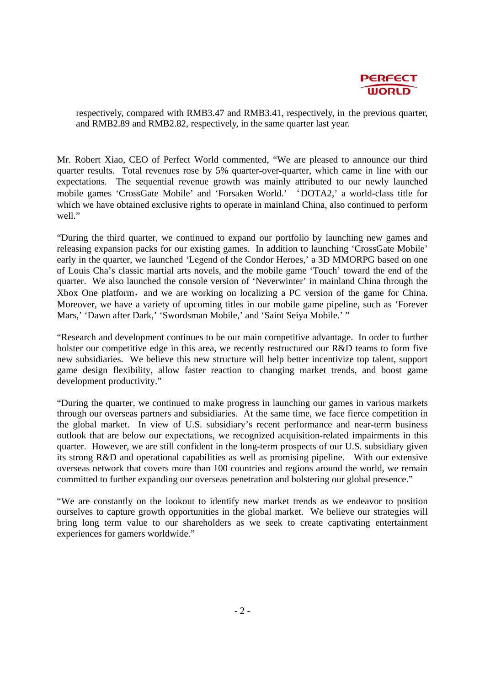

respectively, compared with RMB3.47 and RMB3.41, respectively, in the previous quarter, and RMB2.89 and RMB2.82, respectively, in the same quarter last year.

Mr. Robert Xiao, CEO of Perfect World commented, "We are pleased to announce our third quarter results. Total revenues rose by 5% quarter-over-quarter, which came in line with our expectations. The sequential revenue growth was mainly attributed to our newly launched mobile games 'CrossGate Mobile' and 'Forsaken World.' 'DOTA2,' a world-class title for which we have obtained exclusive rights to operate in mainland China, also continued to perform well."

"During the third quarter, we continued to expand our portfolio by launching new games and releasing expansion packs for our existing games. In addition to launching 'CrossGate Mobile' early in the quarter, we launched 'Legend of the Condor Heroes,' a 3D MMORPG based on one of Louis Cha's classic martial arts novels, and the mobile game 'Touch' toward the end of the quarter. We also launched the console version of 'Neverwinter' in mainland China through the Xbox One platform, and we are working on localizing a PC version of the game for China. Moreover, we have a variety of upcoming titles in our mobile game pipeline, such as 'Forever Mars,' 'Dawn after Dark,' 'Swordsman Mobile,' and 'Saint Seiya Mobile.' "

"Research and development continues to be our main competitive advantage. In order to further bolster our competitive edge in this area, we recently restructured our R&D teams to form five new subsidiaries. We believe this new structure will help better incentivize top talent, support game design flexibility, allow faster reaction to changing market trends, and boost game development productivity."

"During the quarter, we continued to make progress in launching our games in various markets through our overseas partners and subsidiaries. At the same time, we face fierce competition in the global market. In view of U.S. subsidiary's recent performance and near-term business outlook that are below our expectations, we recognized acquisition-related impairments in this quarter. However, we are still confident in the long-term prospects of our U.S. subsidiary given its strong R&D and operational capabilities as well as promising pipeline. With our extensive overseas network that covers more than 100 countries and regions around the world, we remain committed to further expanding our overseas penetration and bolstering our global presence."

"We are constantly on the lookout to identify new market trends as we endeavor to position ourselves to capture growth opportunities in the global market. We believe our strategies will bring long term value to our shareholders as we seek to create captivating entertainment experiences for gamers worldwide."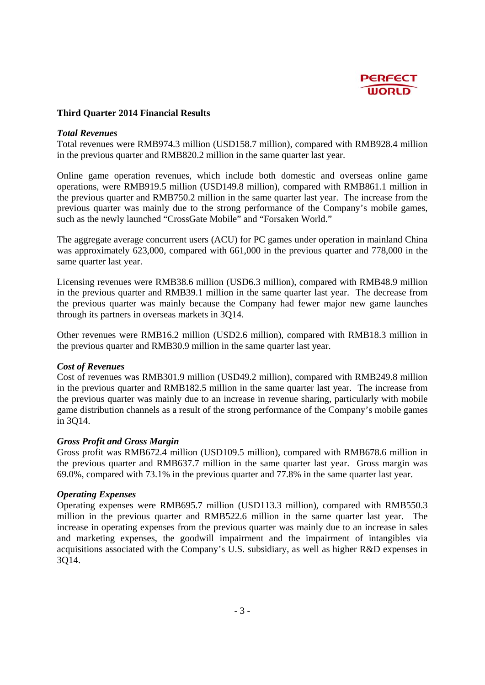

## **Third Quarter 2014 Financial Results**

#### *Total Revenues*

Total revenues were RMB974.3 million (USD158.7 million), compared with RMB928.4 million in the previous quarter and RMB820.2 million in the same quarter last year.

Online game operation revenues, which include both domestic and overseas online game operations, were RMB919.5 million (USD149.8 million), compared with RMB861.1 million in the previous quarter and RMB750.2 million in the same quarter last year. The increase from the previous quarter was mainly due to the strong performance of the Company's mobile games, such as the newly launched "CrossGate Mobile" and "Forsaken World."

The aggregate average concurrent users (ACU) for PC games under operation in mainland China was approximately 623,000, compared with 661,000 in the previous quarter and 778,000 in the same quarter last year.

Licensing revenues were RMB38.6 million (USD6.3 million), compared with RMB48.9 million in the previous quarter and RMB39.1 million in the same quarter last year. The decrease from the previous quarter was mainly because the Company had fewer major new game launches through its partners in overseas markets in 3Q14.

Other revenues were RMB16.2 million (USD2.6 million), compared with RMB18.3 million in the previous quarter and RMB30.9 million in the same quarter last year.

## *Cost of Revenues*

Cost of revenues was RMB301.9 million (USD49.2 million), compared with RMB249.8 million in the previous quarter and RMB182.5 million in the same quarter last year. The increase from the previous quarter was mainly due to an increase in revenue sharing, particularly with mobile game distribution channels as a result of the strong performance of the Company's mobile games in 3Q14.

## *Gross Profit and Gross Margin*

Gross profit was RMB672.4 million (USD109.5 million), compared with RMB678.6 million in the previous quarter and RMB637.7 million in the same quarter last year. Gross margin was 69.0%, compared with 73.1% in the previous quarter and 77.8% in the same quarter last year.

## *Operating Expenses*

Operating expenses were RMB695.7 million (USD113.3 million), compared with RMB550.3 million in the previous quarter and RMB522.6 million in the same quarter last year. The increase in operating expenses from the previous quarter was mainly due to an increase in sales and marketing expenses, the goodwill impairment and the impairment of intangibles via acquisitions associated with the Company's U.S. subsidiary, as well as higher R&D expenses in 3Q14.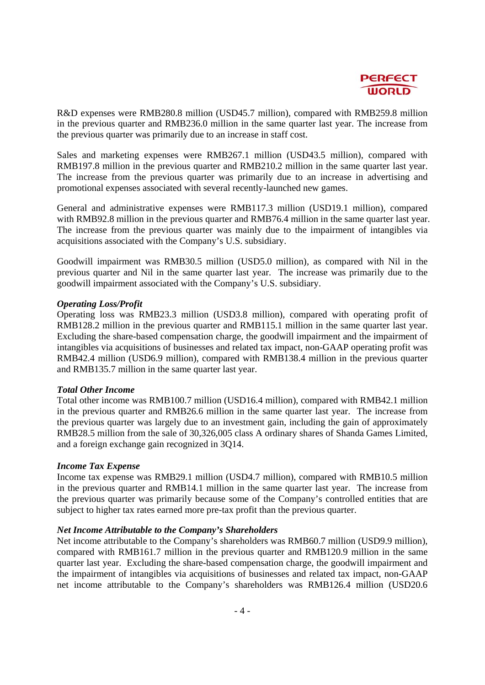

R&D expenses were RMB280.8 million (USD45.7 million), compared with RMB259.8 million in the previous quarter and RMB236.0 million in the same quarter last year. The increase from the previous quarter was primarily due to an increase in staff cost.

Sales and marketing expenses were RMB267.1 million (USD43.5 million), compared with RMB197.8 million in the previous quarter and RMB210.2 million in the same quarter last year. The increase from the previous quarter was primarily due to an increase in advertising and promotional expenses associated with several recently-launched new games.

General and administrative expenses were RMB117.3 million (USD19.1 million), compared with RMB92.8 million in the previous quarter and RMB76.4 million in the same quarter last year. The increase from the previous quarter was mainly due to the impairment of intangibles via acquisitions associated with the Company's U.S. subsidiary.

Goodwill impairment was RMB30.5 million (USD5.0 million), as compared with Nil in the previous quarter and Nil in the same quarter last year. The increase was primarily due to the goodwill impairment associated with the Company's U.S. subsidiary.

## *Operating Loss/Profit*

Operating loss was RMB23.3 million (USD3.8 million), compared with operating profit of RMB128.2 million in the previous quarter and RMB115.1 million in the same quarter last year. Excluding the share-based compensation charge, the goodwill impairment and the impairment of intangibles via acquisitions of businesses and related tax impact, non-GAAP operating profit was RMB42.4 million (USD6.9 million), compared with RMB138.4 million in the previous quarter and RMB135.7 million in the same quarter last year.

## *Total Other Income*

Total other income was RMB100.7 million (USD16.4 million), compared with RMB42.1 million in the previous quarter and RMB26.6 million in the same quarter last year. The increase from the previous quarter was largely due to an investment gain, including the gain of approximately RMB28.5 million from the sale of 30,326,005 class A ordinary shares of Shanda Games Limited, and a foreign exchange gain recognized in 3Q14.

## *Income Tax Expense*

Income tax expense was RMB29.1 million (USD4.7 million), compared with RMB10.5 million in the previous quarter and RMB14.1 million in the same quarter last year. The increase from the previous quarter was primarily because some of the Company's controlled entities that are subject to higher tax rates earned more pre-tax profit than the previous quarter.

## *Net Income Attributable to the Company's Shareholders*

Net income attributable to the Company's shareholders was RMB60.7 million (USD9.9 million), compared with RMB161.7 million in the previous quarter and RMB120.9 million in the same quarter last year. Excluding the share-based compensation charge, the goodwill impairment and the impairment of intangibles via acquisitions of businesses and related tax impact, non-GAAP net income attributable to the Company's shareholders was RMB126.4 million (USD20.6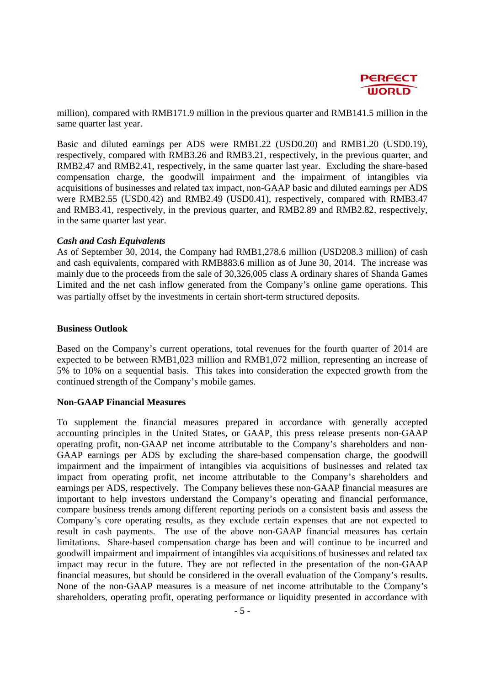

million), compared with RMB171.9 million in the previous quarter and RMB141.5 million in the same quarter last year.

Basic and diluted earnings per ADS were RMB1.22 (USD0.20) and RMB1.20 (USD0.19), respectively, compared with RMB3.26 and RMB3.21, respectively, in the previous quarter, and RMB2.47 and RMB2.41, respectively, in the same quarter last year. Excluding the share-based compensation charge, the goodwill impairment and the impairment of intangibles via acquisitions of businesses and related tax impact, non-GAAP basic and diluted earnings per ADS were RMB2.55 (USD0.42) and RMB2.49 (USD0.41), respectively, compared with RMB3.47 and RMB3.41, respectively, in the previous quarter, and RMB2.89 and RMB2.82, respectively, in the same quarter last year.

## *Cash and Cash Equivalents*

As of September 30, 2014, the Company had RMB1,278.6 million (USD208.3 million) of cash and cash equivalents, compared with RMB883.6 million as of June 30, 2014. The increase was mainly due to the proceeds from the sale of 30,326,005 class A ordinary shares of Shanda Games Limited and the net cash inflow generated from the Company's online game operations. This was partially offset by the investments in certain short-term structured deposits.

## **Business Outlook**

Based on the Company's current operations, total revenues for the fourth quarter of 2014 are expected to be between RMB1,023 million and RMB1,072 million, representing an increase of 5% to 10% on a sequential basis. This takes into consideration the expected growth from the continued strength of the Company's mobile games.

## **Non-GAAP Financial Measures**

To supplement the financial measures prepared in accordance with generally accepted accounting principles in the United States, or GAAP, this press release presents non-GAAP operating profit, non-GAAP net income attributable to the Company's shareholders and non-GAAP earnings per ADS by excluding the share-based compensation charge, the goodwill impairment and the impairment of intangibles via acquisitions of businesses and related tax impact from operating profit, net income attributable to the Company's shareholders and earnings per ADS, respectively. The Company believes these non-GAAP financial measures are important to help investors understand the Company's operating and financial performance, compare business trends among different reporting periods on a consistent basis and assess the Company's core operating results, as they exclude certain expenses that are not expected to result in cash payments. The use of the above non-GAAP financial measures has certain limitations. Share-based compensation charge has been and will continue to be incurred and goodwill impairment and impairment of intangibles via acquisitions of businesses and related tax impact may recur in the future. They are not reflected in the presentation of the non-GAAP financial measures, but should be considered in the overall evaluation of the Company's results. None of the non-GAAP measures is a measure of net income attributable to the Company's shareholders, operating profit, operating performance or liquidity presented in accordance with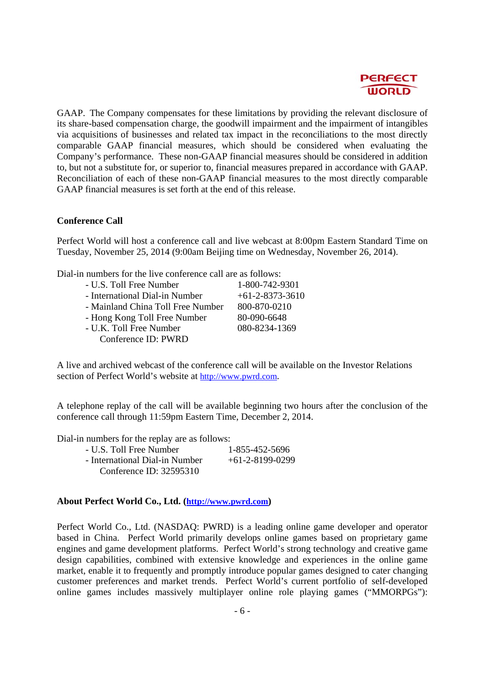

GAAP. The Company compensates for these limitations by providing the relevant disclosure of its share-based compensation charge, the goodwill impairment and the impairment of intangibles via acquisitions of businesses and related tax impact in the reconciliations to the most directly comparable GAAP financial measures, which should be considered when evaluating the Company's performance. These non-GAAP financial measures should be considered in addition to, but not a substitute for, or superior to, financial measures prepared in accordance with GAAP. Reconciliation of each of these non-GAAP financial measures to the most directly comparable GAAP financial measures is set forth at the end of this release.

## **Conference Call**

Perfect World will host a conference call and live webcast at 8:00pm Eastern Standard Time on Tuesday, November 25, 2014 (9:00am Beijing time on Wednesday, November 26, 2014).

Dial-in numbers for the live conference call are as follows:

| - U.S. Toll Free Number           | 1-800-742-9301    |
|-----------------------------------|-------------------|
| - International Dial-in Number    | $+61-2-8373-3610$ |
| - Mainland China Toll Free Number | 800-870-0210      |
| - Hong Kong Toll Free Number      | 80-090-6648       |
| - U.K. Toll Free Number           | 080-8234-1369     |
| Conference ID: PWRD               |                   |

A live and archived webcast of the conference call will be available on the Investor Relations section of Perfect World's website at http://www.pwrd.com.

A telephone replay of the call will be available beginning two hours after the conclusion of the conference call through 11:59pm Eastern Time, December 2, 2014.

Dial-in numbers for the replay are as follows:

| - U.S. Toll Free Number        | 1-855-452-5696    |
|--------------------------------|-------------------|
| - International Dial-in Number | $+61-2-8199-0299$ |
| Conference ID: 32595310        |                   |

## **About Perfect World Co., Ltd. (http://www.pwrd.com)**

Perfect World Co., Ltd. (NASDAQ: PWRD) is a leading online game developer and operator based in China. Perfect World primarily develops online games based on proprietary game engines and game development platforms. Perfect World's strong technology and creative game design capabilities, combined with extensive knowledge and experiences in the online game market, enable it to frequently and promptly introduce popular games designed to cater changing customer preferences and market trends. Perfect World's current portfolio of self-developed online games includes massively multiplayer online role playing games ("MMORPGs"):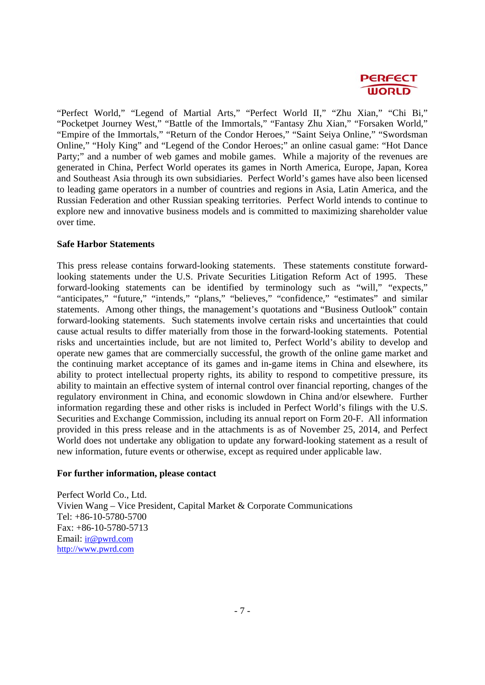

"Perfect World," "Legend of Martial Arts," "Perfect World II," "Zhu Xian," "Chi Bi," "Pocketpet Journey West," "Battle of the Immortals," "Fantasy Zhu Xian," "Forsaken World," "Empire of the Immortals," "Return of the Condor Heroes," "Saint Seiya Online," "Swordsman Online," "Holy King" and "Legend of the Condor Heroes;" an online casual game: "Hot Dance Party;" and a number of web games and mobile games. While a majority of the revenues are generated in China, Perfect World operates its games in North America, Europe, Japan, Korea and Southeast Asia through its own subsidiaries. Perfect World's games have also been licensed to leading game operators in a number of countries and regions in Asia, Latin America, and the Russian Federation and other Russian speaking territories. Perfect World intends to continue to explore new and innovative business models and is committed to maximizing shareholder value over time.

## **Safe Harbor Statements**

This press release contains forward-looking statements. These statements constitute forwardlooking statements under the U.S. Private Securities Litigation Reform Act of 1995. These forward-looking statements can be identified by terminology such as "will," "expects," "anticipates," "future," "intends," "plans," "believes," "confidence," "estimates" and similar statements. Among other things, the management's quotations and "Business Outlook" contain forward-looking statements. Such statements involve certain risks and uncertainties that could cause actual results to differ materially from those in the forward-looking statements. Potential risks and uncertainties include, but are not limited to, Perfect World's ability to develop and operate new games that are commercially successful, the growth of the online game market and the continuing market acceptance of its games and in-game items in China and elsewhere, its ability to protect intellectual property rights, its ability to respond to competitive pressure, its ability to maintain an effective system of internal control over financial reporting, changes of the regulatory environment in China, and economic slowdown in China and/or elsewhere. Further information regarding these and other risks is included in Perfect World's filings with the U.S. Securities and Exchange Commission, including its annual report on Form 20-F. All information provided in this press release and in the attachments is as of November 25, 2014, and Perfect World does not undertake any obligation to update any forward-looking statement as a result of new information, future events or otherwise, except as required under applicable law.

## **For further information, please contact**

Perfect World Co., Ltd. Vivien Wang – Vice President, Capital Market & Corporate Communications Tel: +86-10-5780-5700 Fax: +86-10-5780-5713 Email: ir@pwrd.com http://www.pwrd.com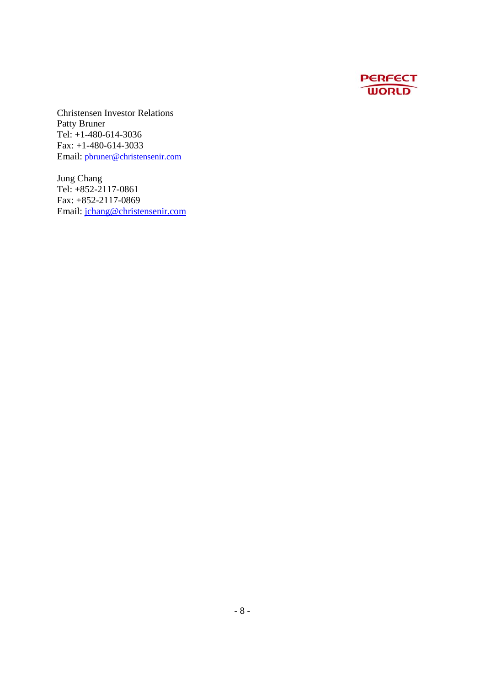

Christensen Investor Relations Patty Bruner Tel: +1-480-614-3036 Fax: +1-480-614-3033 Email: pbruner@christensenir.com

Jung Chang Tel: +852-2117-0861 Fax: +852-2117-0869 Email: jchang@christensenir.com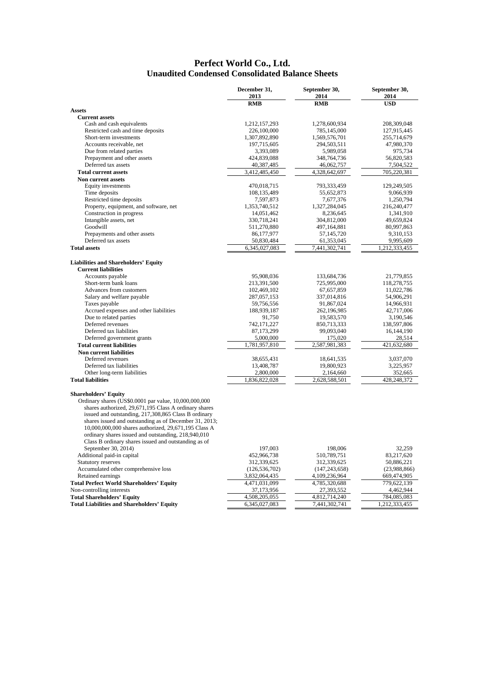#### **Perfect World Co., Ltd. Unaudited Condensed Consolidated Balance Sheets**

|                                                        | December 31,<br>2013        | September 30,<br>2014       | September 30,<br>2014   |
|--------------------------------------------------------|-----------------------------|-----------------------------|-------------------------|
|                                                        | <b>RMB</b>                  | <b>RMB</b>                  | <b>USD</b>              |
| <b>Assets</b>                                          |                             |                             |                         |
| <b>Current assets</b>                                  |                             |                             |                         |
| Cash and cash equivalents                              | 1,212,157,293               | 1,278,600,934               | 208,309,048             |
| Restricted cash and time deposits                      | 226,100,000                 | 785,145,000                 | 127,915,445             |
| Short-term investments                                 | 1,307,892,890               | 1,569,576,701               | 255,714,679             |
| Accounts receivable, net                               | 197,715,605                 | 294,503,511                 | 47,980,370<br>975,734   |
| Due from related parties                               | 3,393,089                   | 5,989,058                   |                         |
| Prepayment and other assets<br>Deferred tax assets     | 424,839,088                 | 348,764,736                 | 56,820,583<br>7,504,522 |
| <b>Total current assets</b>                            | 40,387,485<br>3,412,485,450 | 46,062,757<br>4,328,642,697 | 705,220,381             |
| Non current assets                                     |                             |                             |                         |
| Equity investments                                     | 470,018,715                 | 793,333,459                 | 129,249,505             |
| Time deposits                                          | 108,135,489                 | 55,652,873                  | 9,066,939               |
| Restricted time deposits                               | 7,597,873                   | 7,677,376                   | 1,250,794               |
| Property, equipment, and software, net                 | 1,353,740,512               | 1,327,284,045               | 216,240,477             |
| Construction in progress                               | 14,051,462                  | 8,236,645                   | 1,341,910               |
| Intangible assets, net                                 | 330,718,241                 | 304,812,000                 | 49,659,824              |
| Goodwill                                               | 511,270,880                 | 497,164,881                 | 80,997,863              |
| Prepayments and other assets                           | 86,177,977                  | 57,145,720                  | 9,310,153               |
| Deferred tax assets                                    | 50,830,484                  | 61,353,045                  | 9,995,609               |
| <b>Total assets</b>                                    | 6,345,027,083               | 7,441,302,741               | 1,212,333,455           |
|                                                        |                             |                             |                         |
| <b>Liabilities and Shareholders' Equity</b>            |                             |                             |                         |
| <b>Current liabilities</b>                             |                             |                             |                         |
| Accounts payable                                       | 95,908,036                  | 133,684,736                 | 21,779,855              |
| Short-term bank loans                                  | 213,391,500                 | 725,995,000                 | 118,278,755             |
| Advances from customers                                | 102,469,102                 | 67,657,859                  | 11,022,786              |
| Salary and welfare payable                             | 287,057,153                 | 337,014,816                 | 54,906,291              |
| Taxes payable                                          | 59,756,556                  | 91,867,024                  | 14,966,931              |
| Accrued expenses and other liabilities                 | 188,939,187                 | 262,196,985                 | 42,717,006              |
| Due to related parties                                 | 91,750                      | 19,583,570                  | 3,190,546               |
| Deferred revenues                                      | 742,171,227                 | 850,713,333                 | 138,597,806             |
| Deferred tax liabilities                               | 87,173,299                  | 99,093,040                  | 16,144,190              |
| Deferred government grants                             | 5,000,000                   | 175,020                     | 28,514                  |
| <b>Total current liabilities</b>                       | 1,781,957,810               | 2,587,981,383               | 421,632,680             |
| <b>Non current liabilities</b>                         |                             |                             |                         |
| Deferred revenues                                      | 38,655,431                  | 18,641,535                  | 3,037,070               |
| Deferred tax liabilities                               | 13,408,787                  | 19,800,923                  | 3,225,957               |
| Other long-term liabilities                            | 2,800,000                   | 2,164,660                   | 352,665                 |
| <b>Total liabilities</b>                               | 1,836,822,028               | 2,628,588,501               | 428,248,372             |
|                                                        |                             |                             |                         |
| <b>Shareholders' Equity</b>                            |                             |                             |                         |
| Ordinary shares (US\$0.0001 par value, 10,000,000,000  |                             |                             |                         |
| shares authorized, 29,671,195 Class A ordinary shares  |                             |                             |                         |
| issued and outstanding, 217,308,865 Class B ordinary   |                             |                             |                         |
| shares issued and outstanding as of December 31, 2013; |                             |                             |                         |
| 10,000,000,000 shares authorized, 29,671,195 Class A   |                             |                             |                         |
| ordinary shares issued and outstanding, 218,940,010    |                             |                             |                         |
| Class B ordinary shares issued and outstanding as of   |                             |                             |                         |
| September 30, 2014)                                    | 197,003                     | 198,006                     | 32,259                  |
| Additional paid-in capital                             | 452,966,738                 | 510,789,751                 | 83,217,620              |
| Statutory reserves                                     | 312,339,625                 | 312,339,625                 | 50,886,221              |
| Accumulated other comprehensive loss                   | (126, 536, 702)             | (147, 243, 658)             | (23,988,866)            |
| Retained earnings                                      | 3,832,064,435               | 4,109,236,964               | 669,474,905             |
| <b>Total Perfect World Shareholders' Equity</b>        | 4,471,031,099               | 4,785,320,688               | 779,622,139             |
| Non-controlling interests                              | 37,173,956                  | 27,393,552                  | 4,462,944               |
| <b>Total Shareholders' Equity</b>                      | 4,508,205,055               | 4,812,714,240               | 784,085,083             |
| <b>Total Liabilities and Shareholders' Equity</b>      | 6,345,027,083               | 7,441,302,741               | 1,212,333,455           |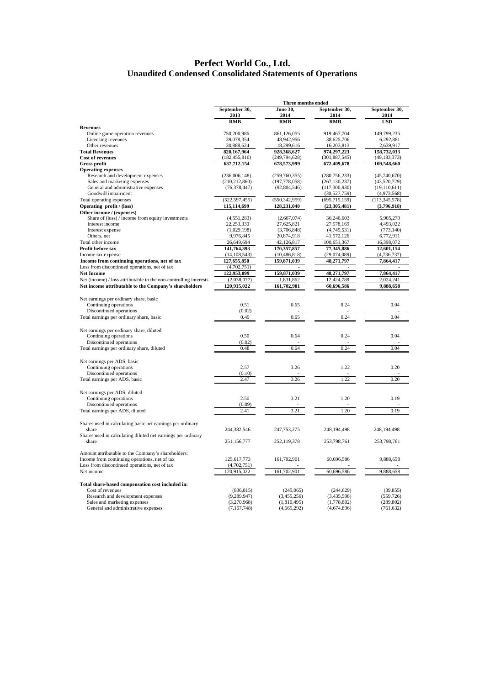#### **Perfect World Co., Ltd. Unaudited Condensed Consolidated Statements of Operations**

|                                                                       | <b>Three months ended</b> |                         |                                 |                                |
|-----------------------------------------------------------------------|---------------------------|-------------------------|---------------------------------|--------------------------------|
|                                                                       | September 30,<br>2013     | <b>June 30,</b><br>2014 | September 30,<br>2014           | September 30,<br>2014          |
|                                                                       | <b>RMB</b>                | <b>RMB</b>              | <b>RMB</b>                      | <b>USD</b>                     |
| <b>Revenues</b><br>Online game operation revenues                     | 750,200,986               | 861,126,055             | 919,467,704                     | 149,799,235                    |
| Licensing revenues                                                    | 39,078,354                | 48,942,956              | 38,625,706                      | 6,292,881                      |
| Other revenues                                                        | 30,888,624                | 18,299,616              | 16,203,813                      | 2,639,917                      |
| <b>Total Revenues</b>                                                 | 820,167,964               | 928,368,627             | 974,297,223                     | 158,732,033                    |
| <b>Cost of revenues</b>                                               | (182, 455, 810)           | (249, 794, 628)         | (301, 887, 545)                 | (49, 183, 373)                 |
| <b>Gross profit</b>                                                   | 637,712,154               | 678,573,999             | 672,409,678                     | 109,548,660                    |
| <b>Operating expenses</b>                                             |                           |                         |                                 |                                |
| Research and development expenses                                     | (236,006,148)             | (259,760,355)           | (280, 756, 233)                 | (45,740,670)                   |
| Sales and marketing expenses                                          | (210, 212, 860)           | (197, 778, 058)         | (267, 130, 237)                 | (43,520,729)                   |
| General and administrative expenses<br>Goodwill impairment            | (76, 378, 447)            | (92, 804, 546)          | (117,300,930)                   | (19,110,611)                   |
| Total operating expenses                                              | (522.597.455)             | (550, 342, 959)         | (30,527,759)<br>(695, 715, 159) | (4,973,568)<br>(113, 345, 578) |
| Operating profit / (loss)                                             | 115,114,699               | 128,231,040             | (23, 305, 481)                  | (3,796,918)                    |
| Other income / (expenses)                                             |                           |                         |                                 |                                |
| Share of (loss) / income from equity investments                      | (4, 551, 283)             | (2,667,074)             | 36,246,603                      | 5,905,279                      |
| Interest income                                                       | 22,253,330                | 27,625,821              | 27,578,169                      | 4,493,022                      |
| Interest expense                                                      | (1,029,198)               | (3,706,848)             | (4,745,531)                     | (773, 140)                     |
| Others, net                                                           | 9,976,845                 | 20,874,918              | 41,572,126                      | 6,772,911                      |
| Total other income                                                    | 26,649,694                | 42,126,817              | 100,651,367                     | 16,398,072                     |
| Profit before tax                                                     | 141,764,393               | 170,357,857             | 77,345,886                      | 12,601,154                     |
| Income tax expense                                                    | (14, 108, 543)            | (10, 486, 818)          | (29,074,089)                    | (4,736,737)                    |
| Income from continuing operations, net of tax                         | 127,655,850               | 159,871,039             | 48,271,797                      | 7,864,417                      |
| Loss from discontinued operations, net of tax                         | (4,702,751)               |                         |                                 |                                |
| <b>Net Income</b>                                                     | 122,953,099               | 159,871,039             | 48,271,797                      | 7,864,417                      |
| Net (income) / loss attributable to the non-controlling interests     | (2,038,077)               | 1,831,862               | 12,424,789                      | 2,024,241                      |
| Net income attributable to the Company's shareholders                 | 120,915,022               | 161,702,901             | 60,696,586                      | 9,888,658                      |
|                                                                       |                           |                         |                                 |                                |
| Net earnings per ordinary share, basic                                |                           |                         |                                 |                                |
| Continuing operations                                                 | 0.51                      | 0.65                    | 0.24                            | 0.04                           |
| Discontinued operations                                               | (0.02)<br>0.49            | 0.65                    | 0.24                            | 0.04                           |
| Total earnings per ordinary share, basic                              |                           |                         |                                 |                                |
|                                                                       |                           |                         |                                 |                                |
| Net earnings per ordinary share, diluted<br>Continuing operations     | 0.50                      | 0.64                    | 0.24                            | 0.04                           |
| Discontinued operations                                               | (0.02)                    |                         |                                 |                                |
| Total earnings per ordinary share, diluted                            | 0.48                      | 0.64                    | 0.24                            | 0.04                           |
|                                                                       |                           |                         |                                 |                                |
| Net earnings per ADS, basic                                           |                           |                         |                                 |                                |
| Continuing operations                                                 | 2.57                      | 3.26                    | 1.22                            | 0.20                           |
| Discontinued operations                                               | (0.10)                    |                         |                                 |                                |
| Total earnings per ADS, basic                                         | 2.47                      | 3.26                    | 1.22                            | 0.20                           |
|                                                                       |                           |                         |                                 |                                |
| Net earnings per ADS, diluted                                         |                           |                         |                                 |                                |
| Continuing operations                                                 | 2.50                      | 3.21                    | 1.20                            | 0.19                           |
| Discontinued operations                                               | (0.09)                    |                         |                                 |                                |
| Total earnings per ADS, diluted                                       | 2.41                      | 3.21                    | 1.20                            | 0.19                           |
|                                                                       |                           |                         |                                 |                                |
| Shares used in calculating basic net earnings per ordinary            |                           |                         |                                 |                                |
| share                                                                 | 244,382,546               | 247,753,275             | 248, 194, 498                   | 248, 194, 498                  |
| Shares used in calculating diluted net earnings per ordinary<br>share |                           |                         |                                 | 253,798,761                    |
|                                                                       | 251,156,777               | 252,119,378             | 253,798,761                     |                                |
| Amount attributable to the Company's shareholders:                    |                           |                         |                                 |                                |
| Income from continuing operations, net of tax                         | 125,617,773               | 161,702,901             | 60,696,586                      | 9,888,658                      |
| Loss from discontinued operations, net of tax                         | (4,702,751)               |                         |                                 |                                |
| Net income                                                            | 120,915,022               | 161,702,901             | 60,696,586                      | 9,888,658                      |
|                                                                       |                           |                         |                                 |                                |
| Total share-based compensation cost included in:                      |                           |                         |                                 |                                |
| Cost of revenues                                                      | (836, 815)                | (245,065)               | (244, 629)                      | (39, 855)                      |
| Research and development expenses                                     | (9, 289, 947)             | (3,455,256)             | (3,435,598)                     | (559, 726)                     |
| Sales and marketing expenses                                          | (3,270,968)               | (1,810,495)             | (1,778,802)                     | (289, 802)                     |
| General and administrative expenses                                   | (7,167,748)               | (4,665,292)             | (4,674,896)                     | (761, 632)                     |